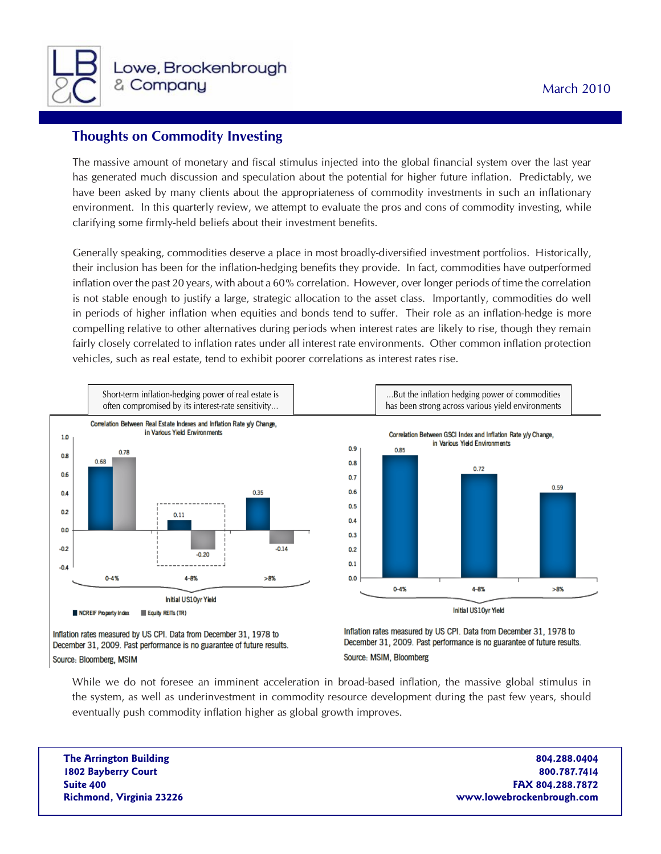

## **Thoughts on Commodity Investing**

The massive amount of monetary and fiscal stimulus injected into the global financial system over the last year has generated much discussion and speculation about the potential for higher future inflation. Predictably, we have been asked by many clients about the appropriateness of commodity investments in such an inflationary environment. In this quarterly review, we attempt to evaluate the pros and cons of commodity investing, while clarifying some firmly-held beliefs about their investment benefits.

Generally speaking, commodities deserve a place in most broadly-diversified investment portfolios. Historically, their inclusion has been for the inflation-hedging benefits they provide. In fact, commodities have outperformed inflation over the past 20 years, with about a 60% correlation. However, over longer periods of time the correlation is not stable enough to justify a large, strategic allocation to the asset class. Importantly, commodities do well in periods of higher inflation when equities and bonds tend to suffer. Their role as an inflation-hedge is more compelling relative to other alternatives during periods when interest rates are likely to rise, though they remain fairly closely correlated to inflation rates under all interest rate environments. Other common inflation protection vehicles, such as real estate, tend to exhibit poorer correlations as interest rates rise.



While we do not foresee an imminent acceleration in broad-based inflation, the massive global stimulus in the system, as well as underinvestment in commodity resource development during the past few years, should eventually push commodity inflation higher as global growth improves.

**The Arrington Building 804.288.0404 1802 Bayberry Court 800.787.7414 Suite 400 FAX 804.288.7872 Richmond, Virginia 23226 www.lowebrockenbrough.com**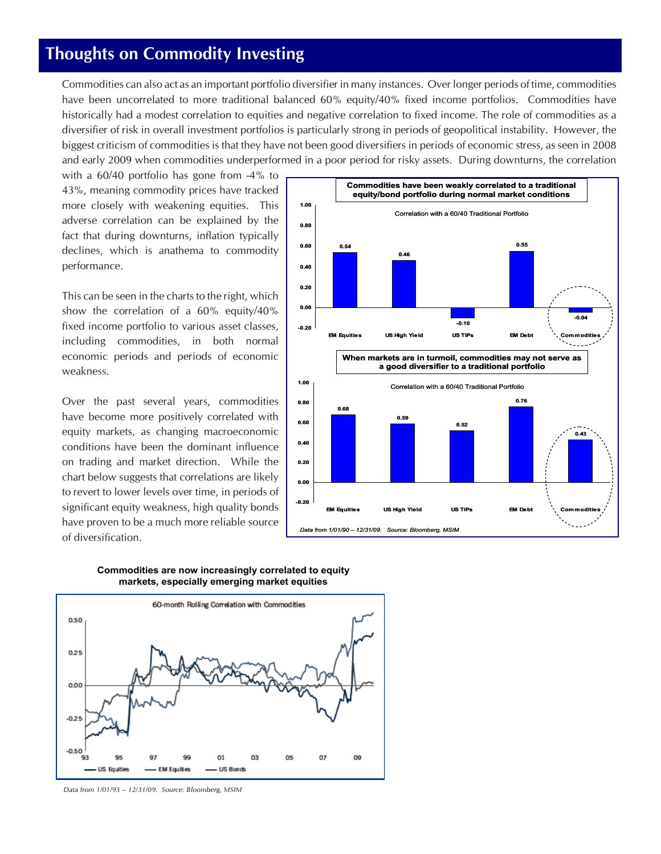## **Thoughts on Commodity Investing**

Commodities can also act as an important portfolio diversifier in many instances. Over longer periods of time, commodities have been uncorrelated to more traditional balanced 60% equity/40% fixed income portfolios. Commodities have historically had a modest correlation to equities and negative correlation to fixed income. The role of commodities as a diversifier of risk in overall investment portfolios is particularly strong in periods of geopolitical instability. However, the biggest criticism of commodities is that they have not been good diversifiers in periods of economic stress, as seen in 2008 and early 2009 when commodities underperformed in a poor period for risky assets. During downturns, the correlation

with a 60/40 portfolio has gone from -4% to 43%, meaning commodity prices have tracked more closely with weakening equities. This adverse correlation can be explained by the fact that during downturns, inflation typically declines, which is anathema to commodity performance.

This can be seen in the charts to the right, which show the correlation of a 60% equity/40% fixed income portfolio to various asset classes, including commodities, in both normal economic periods and periods of economic weakness.

Over the past several years, commodities have become more positively correlated with equity markets, as changing macroeconomic conditions have been the dominant influence on trading and market direction. While the chart below suggests that correlations are likely to revert to lower levels over time, in periods of significant equity weakness, high quality bonds have proven to be a much more reliable source of diversification.







*Data from 1/01/93 – 12/31/09. Source: Bloomberg, MSIM*